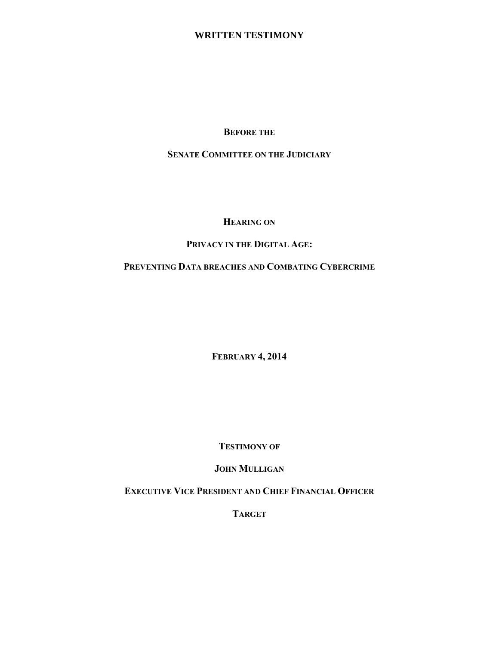### **WRITTEN TESTIMONY**

**BEFORE THE**

**SENATE COMMITTEE ON THE JUDICIARY**

### **HEARING ON**

# **PRIVACY IN THE DIGITAL AGE:**

# **PREVENTING DATA BREACHES AND COMBATING CYBERCRIME**

**FEBRUARY 4, 2014**

**TESTIMONY OF** 

## **JOHN MULLIGAN**

**EXECUTIVE VICE PRESIDENT AND CHIEF FINANCIAL OFFICER**

**TARGET**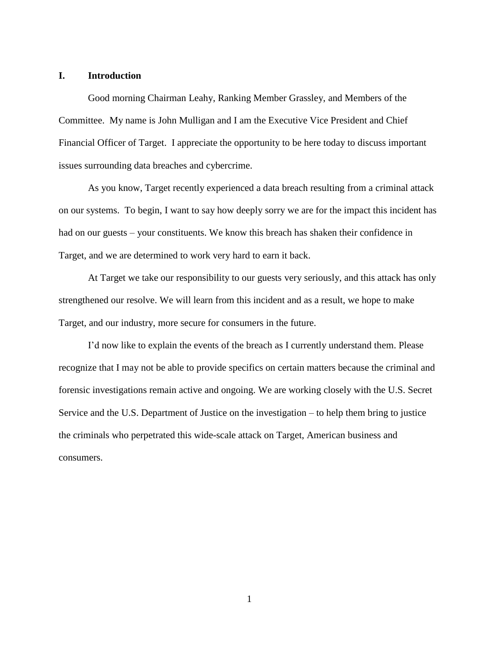#### **I. Introduction**

Good morning Chairman Leahy, Ranking Member Grassley, and Members of the Committee. My name is John Mulligan and I am the Executive Vice President and Chief Financial Officer of Target. I appreciate the opportunity to be here today to discuss important issues surrounding data breaches and cybercrime.

As you know, Target recently experienced a data breach resulting from a criminal attack on our systems. To begin, I want to say how deeply sorry we are for the impact this incident has had on our guests – your constituents. We know this breach has shaken their confidence in Target, and we are determined to work very hard to earn it back.

At Target we take our responsibility to our guests very seriously, and this attack has only strengthened our resolve. We will learn from this incident and as a result, we hope to make Target, and our industry, more secure for consumers in the future.

I'd now like to explain the events of the breach as I currently understand them. Please recognize that I may not be able to provide specifics on certain matters because the criminal and forensic investigations remain active and ongoing. We are working closely with the U.S. Secret Service and the U.S. Department of Justice on the investigation – to help them bring to justice the criminals who perpetrated this wide-scale attack on Target, American business and consumers.

1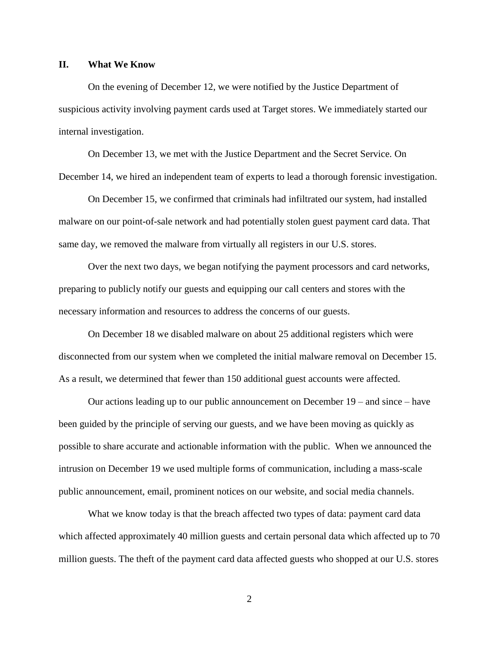#### **II. What We Know**

On the evening of December 12, we were notified by the Justice Department of suspicious activity involving payment cards used at Target stores. We immediately started our internal investigation.

On December 13, we met with the Justice Department and the Secret Service. On December 14, we hired an independent team of experts to lead a thorough forensic investigation.

On December 15, we confirmed that criminals had infiltrated our system, had installed malware on our point-of-sale network and had potentially stolen guest payment card data. That same day, we removed the malware from virtually all registers in our U.S. stores.

Over the next two days, we began notifying the payment processors and card networks, preparing to publicly notify our guests and equipping our call centers and stores with the necessary information and resources to address the concerns of our guests.

On December 18 we disabled malware on about 25 additional registers which were disconnected from our system when we completed the initial malware removal on December 15. As a result, we determined that fewer than 150 additional guest accounts were affected.

Our actions leading up to our public announcement on December 19 – and since – have been guided by the principle of serving our guests, and we have been moving as quickly as possible to share accurate and actionable information with the public. When we announced the intrusion on December 19 we used multiple forms of communication, including a mass-scale public announcement, email, prominent notices on our website, and social media channels.

What we know today is that the breach affected two types of data: payment card data which affected approximately 40 million guests and certain personal data which affected up to 70 million guests. The theft of the payment card data affected guests who shopped at our U.S. stores

2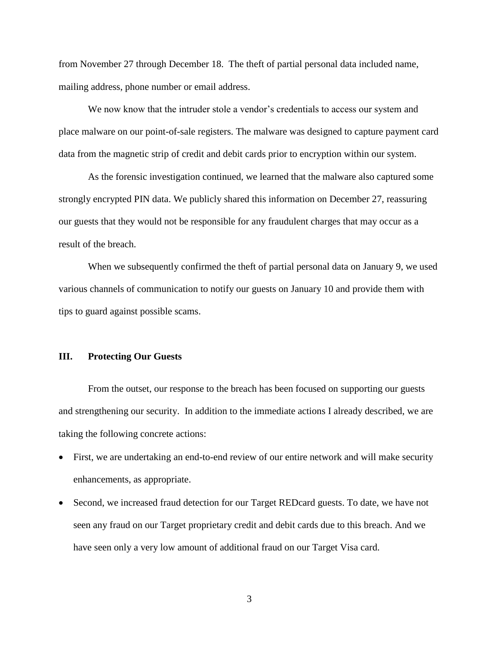from November 27 through December 18. The theft of partial personal data included name, mailing address, phone number or email address.

We now know that the intruder stole a vendor's credentials to access our system and place malware on our point-of-sale registers. The malware was designed to capture payment card data from the magnetic strip of credit and debit cards prior to encryption within our system.

As the forensic investigation continued, we learned that the malware also captured some strongly encrypted PIN data. We publicly shared this information on December 27, reassuring our guests that they would not be responsible for any fraudulent charges that may occur as a result of the breach.

When we subsequently confirmed the theft of partial personal data on January 9, we used various channels of communication to notify our guests on January 10 and provide them with tips to guard against possible scams.

#### **III. Protecting Our Guests**

From the outset, our response to the breach has been focused on supporting our guests and strengthening our security. In addition to the immediate actions I already described, we are taking the following concrete actions:

- First, we are undertaking an end-to-end review of our entire network and will make security enhancements, as appropriate.
- Second, we increased fraud detection for our Target REDcard guests. To date, we have not seen any fraud on our Target proprietary credit and debit cards due to this breach. And we have seen only a very low amount of additional fraud on our Target Visa card.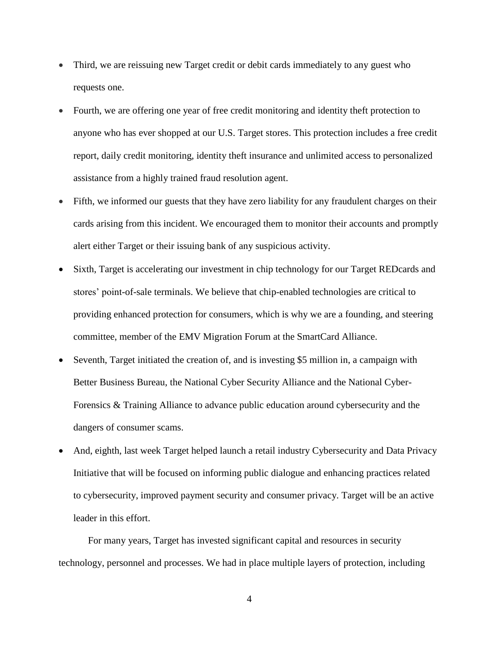- Third, we are reissuing new Target credit or debit cards immediately to any guest who requests one.
- Fourth, we are offering one year of free credit monitoring and identity theft protection to anyone who has ever shopped at our U.S. Target stores. This protection includes a free credit report, daily credit monitoring, identity theft insurance and unlimited access to personalized assistance from a highly trained fraud resolution agent.
- Fifth, we informed our guests that they have zero liability for any fraudulent charges on their cards arising from this incident. We encouraged them to monitor their accounts and promptly alert either Target or their issuing bank of any suspicious activity.
- Sixth, Target is accelerating our investment in chip technology for our Target REDcards and stores' point-of-sale terminals. We believe that chip-enabled technologies are critical to providing enhanced protection for consumers, which is why we are a founding, and steering committee, member of the EMV Migration Forum at the SmartCard Alliance.
- Seventh, Target initiated the creation of, and is investing \$5 million in, a campaign with [Better Business Bureau,](http://tracking.wordfly.com/click?sid=MTY3XzI5OV8xNl82NzQ1&l=220671a6-797c-e311-9006-e41f1345a46a&utm_source=wordfly&utm_medium=email&utm_campaign=CybersecurityCoalitionE-briefMessage&utm_content=version_A) the [National Cyber Security Alliance](http://tracking.wordfly.com/click?sid=MTY3XzI5OV8xNl82NzQ1&l=230671a6-797c-e311-9006-e41f1345a46a&utm_source=wordfly&utm_medium=email&utm_campaign=CybersecurityCoalitionE-briefMessage&utm_content=version_A) and the [National Cyber-](http://tracking.wordfly.com/click?sid=MTY3XzI5OV8xNl82NzQ1&l=240671a6-797c-e311-9006-e41f1345a46a&utm_source=wordfly&utm_medium=email&utm_campaign=CybersecurityCoalitionE-briefMessage&utm_content=version_A)[Forensics & Training Alliance](http://tracking.wordfly.com/click?sid=MTY3XzI5OV8xNl82NzQ1&l=240671a6-797c-e311-9006-e41f1345a46a&utm_source=wordfly&utm_medium=email&utm_campaign=CybersecurityCoalitionE-briefMessage&utm_content=version_A) to advance public education around cybersecurity and the dangers of consumer scams.
- And, eighth, last week Target helped launch a retail industry Cybersecurity and Data Privacy Initiative that will be focused on informing public dialogue and enhancing practices related to cybersecurity, improved payment security and consumer privacy. Target will be an active leader in this effort.

For many years, Target has invested significant capital and resources in security technology, personnel and processes. We had in place multiple layers of protection, including

4